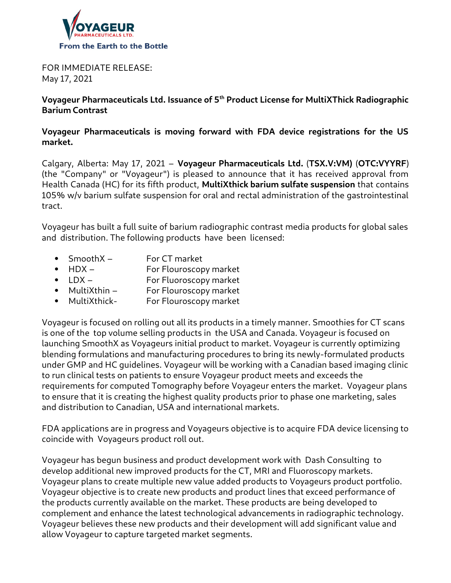

FOR IMMEDIATE RELEASE: May 17, 2021

**Voyageur Pharmaceuticals Ltd. Issuance of 5th Product License for MultiXThick Radiographic Barium Contrast**

**Voyageur Pharmaceuticals is moving forward with FDA device registrations for the US market.**

Calgary, Alberta: May 17, 2021 – **Voyageur Pharmaceuticals Ltd.** (**TSX.V:VM)** (**OTC:VYYRF**) (the "Company" or "Voyageur") is pleased to announce that it has received approval from Health Canada (HC) for its fifth product, **MultiXthick barium sulfate suspension** that contains 105% w/v barium sulfate suspension for oral and rectal administration of the gastrointestinal tract.

Voyageur has built a full suite of barium radiographic contrast media products for global sales and distribution. The following products have been licensed:

- SmoothX For CT market
- HDX For Flouroscopy market
- LDX For Fluoroscopy market
- MultiXthin For Flouroscopy market
- MultiXthick- For Flouroscopy market

Voyageur is focused on rolling out all its products in a timely manner. Smoothies for CT scans is one of the top volume selling products in the USA and Canada. Voyageur is focused on launching SmoothX as Voyageurs initial product to market. Voyageur is currently optimizing blending formulations and manufacturing procedures to bring its newly-formulated products under GMP and HC guidelines. Voyageur will be working with a Canadian based imaging clinic to run clinical tests on patients to ensure Voyageur product meets and exceeds the requirements for computed Tomography before Voyageur enters the market. Voyageur plans to ensure that it is creating the highest quality products prior to phase one marketing, sales and distribution to Canadian, USA and international markets.

FDA applications are in progress and Voyageurs objective is to acquire FDA device licensing to coincide with Voyageurs product roll out.

Voyageur has begun business and product development work with Dash Consulting to develop additional new improved products for the CT, MRI and Fluoroscopy markets. Voyageur plans to create multiple new value added products to Voyageurs product portfolio. Voyageur objective is to create new products and product lines that exceed performance of the products currently available on the market. These products are being developed to complement and enhance the latest technological advancements in radiographic technology. Voyageur believes these new products and their development will add significant value and allow Voyageur to capture targeted market segments.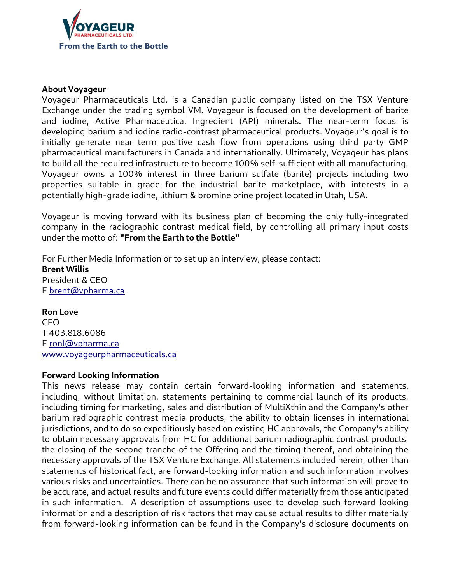

## **About Voyageur**

Voyageur Pharmaceuticals Ltd. is a Canadian public company listed on the TSX Venture Exchange under the trading symbol VM. Voyageur is focused on the development of barite and iodine, Active Pharmaceutical Ingredient (API) minerals. The near-term focus is developing barium and iodine radio-contrast pharmaceutical products. Voyageur's goal is to initially generate near term positive cash flow from operations using third party GMP pharmaceutical manufacturers in Canada and internationally. Ultimately, Voyageur has plans to build all the required infrastructure to become 100% self-sufficient with all manufacturing. Voyageur owns a 100% interest in three barium sulfate (barite) projects including two properties suitable in grade for the industrial barite marketplace, with interests in a potentially high-grade iodine, lithium & bromine brine project located in Utah, USA.

Voyageur is moving forward with its business plan of becoming the only fully-integrated company in the radiographic contrast medical field, by controlling all primary input costs under the motto of: **"From the Earth to the Bottle"**

For Further Media Information or to set up an interview, please contact: **Brent Willis** President & CEO E [brent@vpharma.ca](mailto:brent@vpharma.ca)

## **Ron Love**

**CFO** T 403.818.6086 E ronl@vpharma.ca www.voyageurpharmaceuticals.ca

## **Forward Looking Information**

This news release may contain certain forward-looking information and statements, including, without limitation, statements pertaining to commercial launch of its products, including timing for marketing, sales and distribution of MultiXthin and the Company's other barium radiographic contrast media products, the ability to obtain licenses in international jurisdictions, and to do so expeditiously based on existing HC approvals, the Company's ability to obtain necessary approvals from HC for additional barium radiographic contrast products, the closing of the second tranche of the Offering and the timing thereof, and obtaining the necessary approvals of the TSX Venture Exchange. All statements included herein, other than statements of historical fact, are forward-looking information and such information involves various risks and uncertainties. There can be no assurance that such information will prove to be accurate, and actual results and future events could differ materially from those anticipated in such information. A description of assumptions used to develop such forward-looking information and a description of risk factors that may cause actual results to differ materially from forward-looking information can be found in the Company's disclosure documents on